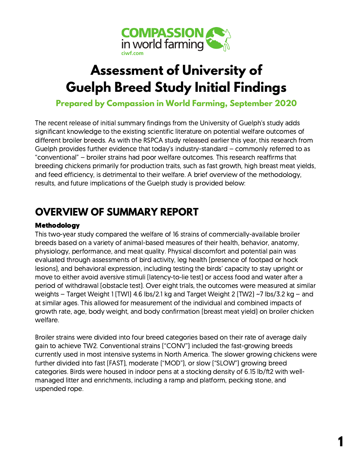

# **Assessment of University of Guelph Breed Study Initial Findings**

**Prepared by Compassion in World Farming, September 2020**

The recent release of initial summary findings from the University of Guelph's study adds significant knowledge to the existing scientific literature on potential welfare outcomes of different broiler breeds. As with the RSPCA study released earlier this year, this research from Guelph provides further evidence that today's industry-standard – commonly referred to as "conventional" – broiler strains had poor welfare outcomes. This research reaffirms that breeding chickens primarily for production traits, such as fast growth, high breast meat yields, and feed efficiency, is detrimental to their welfare. A brief overview of the methodology, results, and future implications of the Guelph study is provided below:

## **OVERVIEW OF SUMMARY REPORT**

#### Methodology

This two-year study compared the welfare of 16 strains of commercially-available broiler breeds based on a variety of animal-based measures of their health, behavior, anatomy, physiology, performance, and meat quality. Physical discomfort and potential pain was evaluated through assessments of bird activity, leg health (presence of footpad or hock lesions), and behavioral expression, including testing the birds' capacity to stay upright or move to either avoid aversive stimuli (latency-to-lie test) or access food and water after a period of withdrawal (obstacle test). Over eight trials, the outcomes were measured at similar weights – Target Weight 1 (TW1) 4.6 lbs/2.1 kg and Target Weight 2 (TW2) ~7 lbs/3.2 kg – and at similar ages. This allowed for measurement of the individual and combined impacts of growth rate, age, body weight, and body confirmation (breast meat yield) on broiler chicken welfare.

Broiler strains were divided into four breed categories based on their rate of average daily gain to achieve TW2. Conventional strains ("CONV") included the fast-growing breeds currently used in most intensive systems in North America. The slower growing chickens were further divided into fast (FAST), moderate ("MOD"), or slow ("SLOW") growing breed categories. Birds were housed in indoor pens at a stocking density of 6.15 lb/ft2 with wellmanaged litter and enrichments, including a ramp and platform, pecking stone, and uspended rope.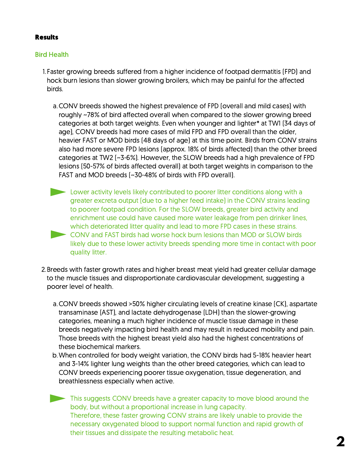#### Results

#### Bird Health

1. Faster growing breeds suffered from a higher incidence of footpad dermatitis (FPD) and hock burn lesions than slower growing broilers, which may be painful for the affected birds.

- CONV breeds showed the highest prevalence of FPD (overall and mild cases) with a. roughly ~78% of bird affected overall when compared to the slower growing breed categories at both target weights. Even when younger and lighter\* at TW1 (34 days of age), CONV breeds had more cases of mild FPD and FPD overall than the older, heavier FAST or MOD birds (48 days of age) at this time point. Birds from CONV strains also had more severe FPD lesions (approx. 18% of birds affected) than the other breed categories at TW2 (~3-6%). However, the SLOW breeds had a high prevalence of FPD lesions (50-57% of birds affected overall) at both target weights in comparison to the FAST and MOD breeds (~30-48% of birds with FPD overall).
- **Lower activity levels likely contributed to poorer litter conditions along with a** greater excreta output (due to a higher feed intake) in the CONV strains leading to poorer footpad condition. For the SLOW breeds, greater bird activity and enrichment use could have caused more water leakage from pen drinker lines, which deteriorated litter quality and lead to more FPD cases in these strains. CONV and FAST birds had worse hock burn lesions than MOD or SLOW birds likely due to these lower activity breeds spending more time in contact with poor quality litter.
- 2. Breeds with faster growth rates and higher breast meat yield had greater cellular damage to the muscle tissues and disproportionate cardiovascular development, suggesting a poorer level of health.
	- a. CONV breeds showed >50% higher circulating levels of creatine kinase [CK], aspartate transaminase (AST), and lactate dehydrogenase (LDH) than the slower-growing categories, meaning a much higher incidence of muscle tissue damage in these breeds negatively impacting bird health and may result in reduced mobility and pain. Those breeds with the highest breast yield also had the highest concentrations of these biochemical markers.
	- When controlled for body weight variation, the CONV birds had 5-18% heavier heart b. and 3-14% lighter lung weights than the other breed categories, which can lead to CONV breeds experiencing poorer tissue oxygenation, tissue degeneration, and breathlessness especially when active.
	- This suggests CONV breeds have a greater capacity to move blood around the body, but without a proportional increase in lung capacity. Therefore, these faster growing CONV strains are likely unable to provide the necessary oxygenated blood to support normal function and rapid growth of their tissues and dissipate the resulting metabolic heat.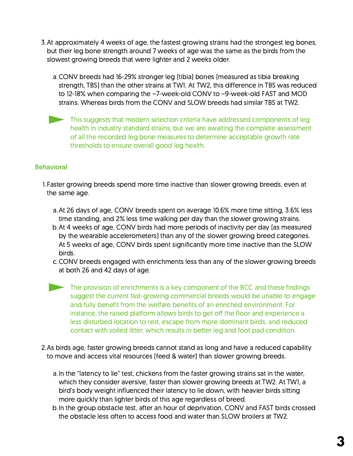- 3. At approximately 4 weeks of age, the fastest growing strains had the strongest leg bones, but their leg bone strength around 7 weeks of age was the same as the birds from the slowest growing breeds that were lighter and 2 weeks older.
	- CONV breeds had 16-29% stronger leg (tibia) bones (measured as tibia breaking a. strength, TBS) than the other strains at TW1. At TW2, this difference in TBS was reduced to 12-18% when comparing the ~7-week-old CONV to ~9-week-old FAST and MOD strains. Whereas birds from the CONV and SLOW breeds had similar TBS at TW2.
	- This suggests that modern selection criteria have addressed components of leg health in industry standard strains, but we are awaiting the complete assessment of all the recorded leg bone measures to determine acceptable growth rate thresholds to ensure overall good leg health.

#### Behavioral

- Faster growing breeds spend more time inactive than slower growing breeds, even at 1. the same age.
	- At 26 days of age, CONV breeds spent on average 10.6% more time sitting, 3.6% less a. time standing, and 2% less time walking per day than the slower growing strains.
	- b. At 4 weeks of age, CONV birds had more periods of inactivity per day (as measured by the wearable accelerometers) than any of the slower growing breed categories. At 5 weeks of age, CONV birds spent significantly more time inactive than the SLOW birds.
	- c. CONV breeds engaged with enrichments less than any of the slower growing breeds at both 26 and 42 days of age.
	- The provision of enrichments is a key component of the BCC and these findings suggest the current fast-growing commercial breeds would be unable to engage and fully benefit from the welfare benefits of an enriched environment. For instance, the raised platform allows birds to get off the floor and experience a less disturbed location to rest, escape from more dominant birds, and reduced contact with soiled litter, which results in better leg and foot pad condition.
- 2. As birds age, faster growing breeds cannot stand as long and have a reduced capability to move and access vital resources (feed & water) than slower growing breeds.
	- a. In the "latency to lie" test, chickens from the faster growing strains sat in the water, which they consider aversive, faster than slower growing breeds at TW2. At TW1, a bird's body weight influenced their latency to lie down, with heavier birds sitting more quickly than lighter birds of this age regardless of breed.
	- b. In the group obstacle test, after an hour of deprivation, CONV and FAST birds crossed the obstacle less often to access food and water than SLOW broilers at TW2.